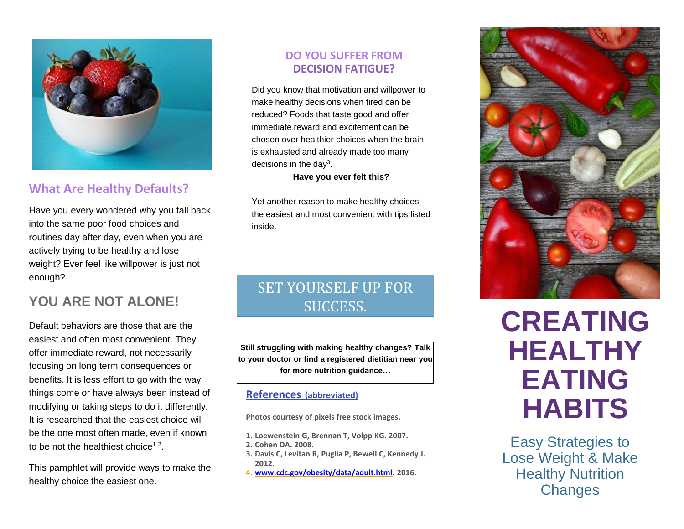

### **What Are Healthy Defaults?**

Have you every wondered why you fall back into the same poor food choices and routines day after day, even when you are actively trying to be healthy and lose weight? Ever feel like willpower is just not enough?

## **YOU ARE NOT ALONE!**

Default behaviors are those that are the easiest and often most convenient. They offer immediate reward, not necessarily focusing on long term consequences or benefits. It is less effort to go with the way things come or have always been instead of modifying or taking steps to do it differently. It is researched that the easiest choice will be the one most often made, even if known to be not the healthiest choice<sup>1,2</sup>.

This pamphlet will provide ways to make the healthy choice the easiest one.

#### **DO YOU SUFFER FROM DECISION FATIGUE?**

Did you know that motivation and willpower to make healthy decisions when tired can be reduced? Foods that taste good and offer immediate reward and excitement can be chosen over healthier choices when the brain is exhausted and already made too many decisions in the day<sup>3</sup>.

**Have you ever felt this?**

Yet another reason to make healthy choices the easiest and most convenient with tips listed inside.

## SET YOURSELF UP FOR SUCCESS.

**Still struggling with making healthy changes? Talk to your doctor or find a registered dietitian near you for more nutrition guidance…**

#### **References (abbreviated)**

**Photos courtesy of pixels free stock images.**

- **1. Loewenstein G, Brennan T, Volpp KG. 2007.**
- **2. Cohen DA. 2008.**
- **3. Davis C, Levitan R, Puglia P, Bewell C, Kennedy J. 2012.**
- **4. [www.cdc.gov/obesity/data/adult.html.](http://www.cdc.gov/obesity/data/adult.html) 2016.**



# H **HABITS CREATING HEALTHY EATING**

Easy Strategies to Lose Weight & Make **Healthy Nutrition Changes**